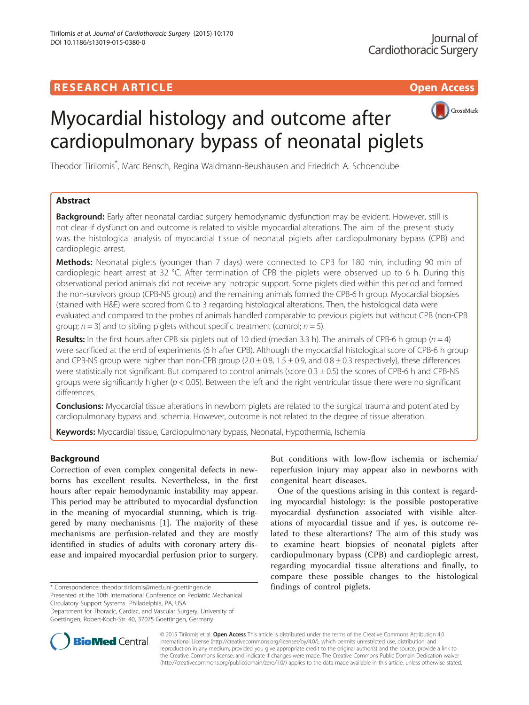# **RESEARCH ARTICLE EXECUTE: CONSIDERING A RESEARCH ARTICLE**



# Myocardial histology and outcome after cardiopulmonary bypass of neonatal piglets

Theodor Tirilomis\* , Marc Bensch, Regina Waldmann-Beushausen and Friedrich A. Schoendube

# Abstract

**Background:** Early after neonatal cardiac surgery hemodynamic dysfunction may be evident. However, still is not clear if dysfunction and outcome is related to visible myocardial alterations. The aim of the present study was the histological analysis of myocardial tissue of neonatal piglets after cardiopulmonary bypass (CPB) and cardioplegic arrest.

Methods: Neonatal piglets (younger than 7 days) were connected to CPB for 180 min, including 90 min of cardioplegic heart arrest at 32 °C. After termination of CPB the piglets were observed up to 6 h. During this observational period animals did not receive any inotropic support. Some piglets died within this period and formed the non-survivors group (CPB-NS group) and the remaining animals formed the CPB-6 h group. Myocardial biopsies (stained with H&E) were scored from 0 to 3 regarding histological alterations. Then, the histological data were evaluated and compared to the probes of animals handled comparable to previous piglets but without CPB (non-CPB group;  $n = 3$ ) and to sibling piglets without specific treatment (control;  $n = 5$ ).

Results: In the first hours after CPB six piglets out of 10 died (median 3.3 h). The animals of CPB-6 h group ( $n = 4$ ) were sacrificed at the end of experiments (6 h after CPB). Although the myocardial histological score of CPB-6 h group and CPB-NS group were higher than non-CPB group  $(2.0 \pm 0.8, 1.5 \pm 0.9,$  and  $0.8 \pm 0.3$  respectively), these differences were statistically not significant. But compared to control animals (score  $0.3 \pm 0.5$ ) the scores of CPB-6 h and CPB-NS groups were significantly higher ( $p < 0.05$ ). Between the left and the right ventricular tissue there were no significant differences.

**Conclusions:** Myocardial tissue alterations in newborn piglets are related to the surgical trauma and potentiated by cardiopulmonary bypass and ischemia. However, outcome is not related to the degree of tissue alteration.

Keywords: Myocardial tissue, Cardiopulmonary bypass, Neonatal, Hypothermia, Ischemia

# Background

Correction of even complex congenital defects in newborns has excellent results. Nevertheless, in the first hours after repair hemodynamic instability may appear. This period may be attributed to myocardial dysfunction in the meaning of myocardial stunning, which is triggered by many mechanisms [[1\]](#page-3-0). The majority of these mechanisms are perfusion-related and they are mostly identified in studies of adults with coronary artery disease and impaired myocardial perfusion prior to surgery.

\* Correspondence: [theodor.tirilomis@med.uni-goettingen.de](mailto:theodor.tirilomis@med.uni-goettingen.de) findings of control piglets.

Presented at the 10th International Conference on Pediatric Mechanical Circulatory Support Systems Philadelphia, PA, USA

Department for Thoracic, Cardiac, and Vascular Surgery, University of Goettingen, Robert-Koch-Str. 40, 37075 Goettingen, Germany

But conditions with low-flow ischemia or ischemia/ reperfusion injury may appear also in newborns with congenital heart diseases.

One of the questions arising in this context is regarding myocardial histology: is the possible postoperative myocardial dysfunction associated with visible alterations of myocardial tissue and if yes, is outcome related to these alterartions? The aim of this study was to examine heart biopsies of neonatal piglets after cardiopulmonary bypass (CPB) and cardioplegic arrest, regarding myocardial tissue alterations and finally, to compare these possible changes to the histological



© 2015 Tirilomis et al. Open Access This article is distributed under the terms of the Creative Commons Attribution 4.0 International License [\(http://creativecommons.org/licenses/by/4.0/](http://creativecommons.org/licenses/by/4.0/)), which permits unrestricted use, distribution, and reproduction in any medium, provided you give appropriate credit to the original author(s) and the source, provide a link to the Creative Commons license, and indicate if changes were made. The Creative Commons Public Domain Dedication waiver [\(http://creativecommons.org/publicdomain/zero/1.0/](http://creativecommons.org/publicdomain/zero/1.0/)) applies to the data made available in this article, unless otherwise stated.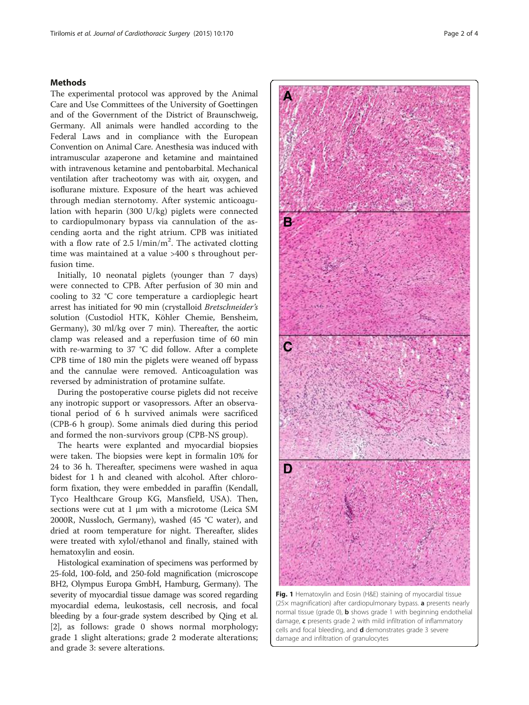#### <span id="page-1-0"></span>**Methods**

The experimental protocol was approved by the Animal Care and Use Committees of the University of Goettingen and of the Government of the District of Braunschweig, Germany. All animals were handled according to the Federal Laws and in compliance with the European Convention on Animal Care. Anesthesia was induced with intramuscular azaperone and ketamine and maintained with intravenous ketamine and pentobarbital. Mechanical ventilation after tracheotomy was with air, oxygen, and isoflurane mixture. Exposure of the heart was achieved through median sternotomy. After systemic anticoagulation with heparin (300 U/kg) piglets were connected to cardiopulmonary bypass via cannulation of the ascending aorta and the right atrium. CPB was initiated with a flow rate of 2.5  $1/\text{min/m}^2$ . The activated clotting time was maintained at a value >400 s throughout perfusion time.

Initially, 10 neonatal piglets (younger than 7 days) were connected to CPB. After perfusion of 30 min and cooling to 32 °C core temperature a cardioplegic heart arrest has initiated for 90 min (crystalloid Bretschneider's solution (Custodiol HTK, Köhler Chemie, Bensheim, Germany), 30 ml/kg over 7 min). Thereafter, the aortic clamp was released and a reperfusion time of 60 min with re-warming to 37 °C did follow. After a complete CPB time of 180 min the piglets were weaned off bypass and the cannulae were removed. Anticoagulation was reversed by administration of protamine sulfate.

During the postoperative course piglets did not receive any inotropic support or vasopressors. After an observational period of 6 h survived animals were sacrificed (CPB-6 h group). Some animals died during this period and formed the non-survivors group (CPB-NS group).

The hearts were explanted and myocardial biopsies were taken. The biopsies were kept in formalin 10% for 24 to 36 h. Thereafter, specimens were washed in aqua bidest for 1 h and cleaned with alcohol. After chloroform fixation, they were embedded in paraffin (Kendall, Tyco Healthcare Group KG, Mansfield, USA). Then, sections were cut at 1 μm with a microtome (Leica SM 2000R, Nussloch, Germany), washed (45 °C water), and dried at room temperature for night. Thereafter, slides were treated with xylol/ethanol and finally, stained with hematoxylin and eosin.

Histological examination of specimens was performed by 25-fold, 100-fold, and 250-fold magnification (microscope BH2, Olympus Europa GmbH, Hamburg, Germany). The severity of myocardial tissue damage was scored regarding myocardial edema, leukostasis, cell necrosis, and focal bleeding by a four-grade system described by Qing et al. [[2](#page-3-0)], as follows: grade 0 shows normal morphology; grade 1 slight alterations; grade 2 moderate alterations; and grade 3: severe alterations.



Fig. 1 Hematoxylin and Eosin (H&E) staining of myocardial tissue (25× magnification) after cardiopulmonary bypass. a presents nearly normal tissue (grade  $0$ ), **b** shows grade 1 with beginning endothelial damage, c presents grade 2 with mild infiltration of inflammatory cells and focal bleeding, and **d** demonstrates grade 3 severe damage and infiltration of granulocytes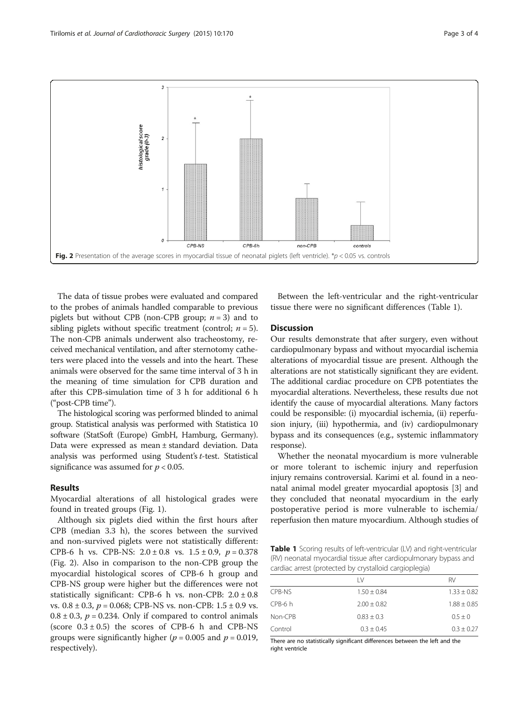

The data of tissue probes were evaluated and compared to the probes of animals handled comparable to previous piglets but without CPB (non-CPB group;  $n = 3$ ) and to sibling piglets without specific treatment (control;  $n = 5$ ). The non-CPB animals underwent also tracheostomy, received mechanical ventilation, and after sternotomy catheters were placed into the vessels and into the heart. These animals were observed for the same time interval of 3 h in the meaning of time simulation for CPB duration and after this CPB-simulation time of 3 h for additional 6 h ("post-CPB time").

The histological scoring was performed blinded to animal group. Statistical analysis was performed with Statistica 10 software (StatSoft (Europe) GmbH, Hamburg, Germany). Data were expressed as mean ± standard deviation. Data analysis was performed using Student's t-test. Statistical significance was assumed for  $p < 0.05$ .

#### Results

Myocardial alterations of all histological grades were found in treated groups (Fig. [1](#page-1-0)).

Although six piglets died within the first hours after CPB (median 3.3 h), the scores between the survived and non-survived piglets were not statistically different: CPB-6 h vs. CPB-NS:  $2.0 \pm 0.8$  vs.  $1.5 \pm 0.9$ ,  $p = 0.378$ (Fig. 2). Also in comparison to the non-CPB group the myocardial histological scores of CPB-6 h group and CPB-NS group were higher but the differences were not statistically significant: CPB-6 h vs. non-CPB:  $2.0 \pm 0.8$ vs.  $0.8 \pm 0.3$ ,  $p = 0.068$ ; CPB-NS vs. non-CPB:  $1.5 \pm 0.9$  vs.  $0.8 \pm 0.3$ ,  $p = 0.234$ . Only if compared to control animals (score  $0.3 \pm 0.5$ ) the scores of CPB-6 h and CPB-NS groups were significantly higher ( $p = 0.005$  and  $p = 0.019$ , respectively).

Between the left-ventricular and the right-ventricular tissue there were no significant differences (Table 1).

### **Discussion**

Our results demonstrate that after surgery, even without cardiopulmonary bypass and without myocardial ischemia alterations of myocardial tissue are present. Although the alterations are not statistically significant they are evident. The additional cardiac procedure on CPB potentiates the myocardial alterations. Nevertheless, these results due not identify the cause of myocardial alterations. Many factors could be responsible: (i) myocardial ischemia, (ii) reperfusion injury, (iii) hypothermia, and (iv) cardiopulmonary bypass and its consequences (e.g., systemic inflammatory response).

Whether the neonatal myocardium is more vulnerable or more tolerant to ischemic injury and reperfusion injury remains controversial. Karimi et al. found in a neonatal animal model greater myocardial apoptosis [\[3\]](#page-3-0) and they concluded that neonatal myocardium in the early postoperative period is more vulnerable to ischemia/ reperfusion then mature myocardium. Although studies of

Table 1 Scoring results of left-ventricular (LV) and right-ventricular (RV) neonatal myocardial tissue after cardiopulmonary bypass and cardiac arrest (protected by crystalloid cargioplegia)

|         | $\overline{1}$ | RV              |
|---------|----------------|-----------------|
| CPB-NS  | $1.50 + 0.84$  | $1.33 \pm 0.82$ |
| CPB-6 h | $2.00 + 0.82$  | $1.88 \pm 0.85$ |
| Non-CPB | $0.83 + 0.3$   | $0.5 \pm 0$     |
| Control | $0.3 + 0.45$   | $0.3 \pm 0.27$  |

There are no statistically significant differences between the left and the right ventricle